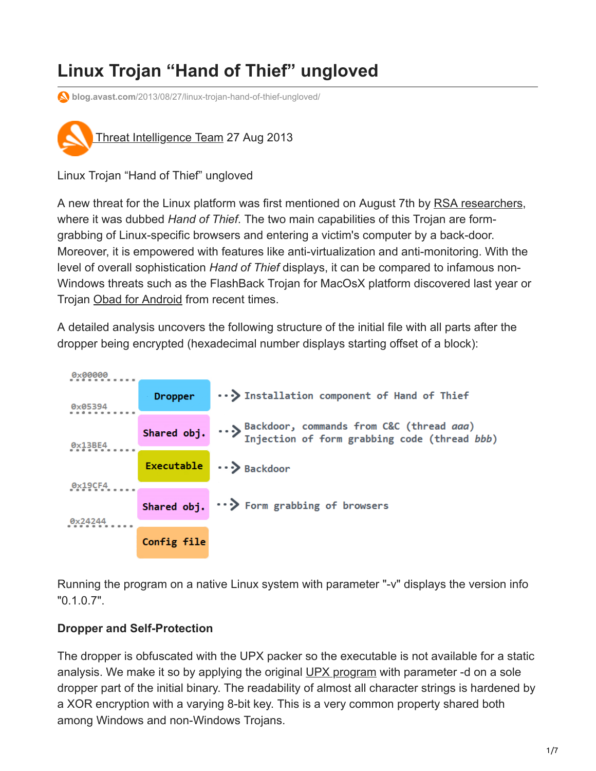# **Linux Trojan "Hand of Thief" ungloved**

**blog.avast.com**[/2013/08/27/linux-trojan-hand-of-thief-ungloved/](https://blog.avast.com/2013/08/27/linux-trojan-hand-of-thief-ungloved/)



Linux Trojan "Hand of Thief" ungloved

A new threat for the Linux platform was first mentioned on August 7th by [RSA researchers](http://blogs.rsa.com/thieves-reaching-for-linux-hand-of-thief-trojan-targets-linux-inth3wild/), where it was dubbed *Hand of Thief*. The two main capabilities of this Trojan are formgrabbing of Linux-specific browsers and entering a victim's computer by a back-door. Moreover, it is empowered with features like anti-virtualization and anti-monitoring. With the level of overall sophistication *Hand of Thief* displays, it can be compared to infamous non-Windows threats such as the FlashBack Trojan for MacOsX platform discovered last year or Trojan [Obad for Android](https://blog.avast.com/2013/06/17/androidobad-malware-gets-smarter-so-does-avast) from recent times.

A detailed analysis uncovers the following structure of the initial file with all parts after the dropper being encrypted (hexadecimal number displays starting offset of a block):



Running the program on a native Linux system with parameter "-v" displays the version info "0.1.0.7".

### **Dropper and Self-Protection**

The dropper is obfuscated with the UPX packer so the executable is not available for a static analysis. We make it so by applying the original [UPX program](http://upx.sourceforge.net/) with parameter -d on a sole dropper part of the initial binary. The readability of almost all character strings is hardened by a XOR encryption with a varying 8-bit key. This is a very common property shared both among Windows and non-Windows Trojans.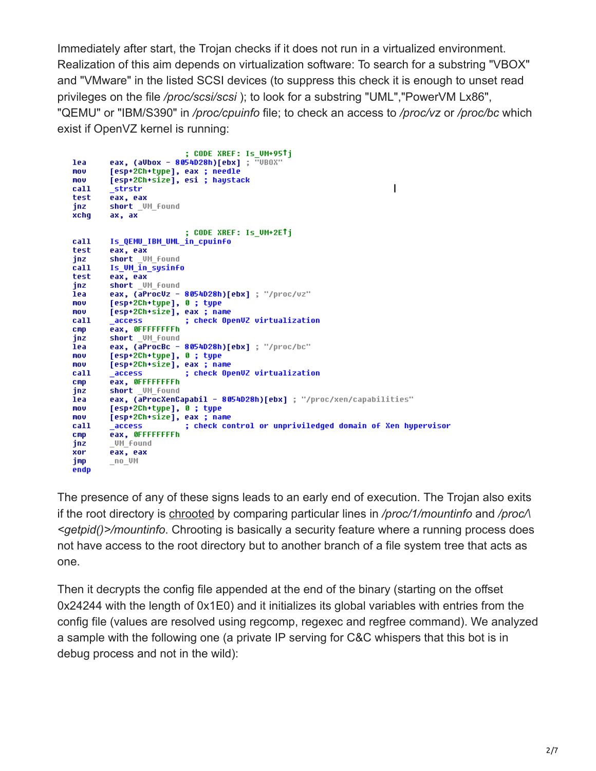Immediately after start, the Trojan checks if it does not run in a virtualized environment. Realization of this aim depends on virtualization software: To search for a substring "VBOX" and "VMware" in the listed SCSI devices (to suppress this check it is enough to unset read privileges on the file */proc/scsi/scsi* ); to look for a substring "UML","PowerVM Lx86", "QEMU" or "IBM/S390" in */proc/cpuinfo* file; to check an access to */proc/vz* or */proc/bc* which exist if OpenVZ kernel is running:

```
; CODE XREF: Is UM+95Tj
        eax, (aUbox - 8054D28h)[ebx] ; "UBOX"
lea
mou
        [esp+2Ch+type], eax ; needle
mov
        [esp+2Ch+size], esi ; haystack
                                                                        \overline{\phantom{a}}call
         strstr
test
        eax, eax
        short _VM_found
jnz
        ax, ax
xchq
                         ; CODE XREF: Is UM+2ETj
        Is QEMU_IBM_UML_in_cpuinfo
call
test.
        eax, eax
        short _UM_found<br>Is_UM_in_sysinfo
inz
call.
test
        eax, eax
        short UM Found
jnz
        eax, (aProcUz - 8054D28h)[ebx] ; "/proc/uz"
lea
mou
        [esp+2Ch+type], 0; type
        [esp+2Ch+size], eax ; name
mou
call
        _access
                         ; check OpenUZ virtualization
        eax, OFFFFFFFFh
CMDshort UM Found
jnz
        eax, (aProcBc - 8054D28h)[ebx] ; "/proc/bc"
lea
        [esp+2Ch+type], 0; type
mou
        [esp+2Ch+size], eax ; name
mou
                         ; check OpenUZ virtualization
call
         access
        eax, OFFFFFFFFh
CMDshort UM Found
jnz
        eax, (aProcXenCapabil - 8054D28h)[ebx] ; "/proc/xen/capabilities"
lea
mou
        [esp+2Ch+type], 0 ; type
        [esp+2Ch+size], eax ; name
nov.
call
         access
                         ; check control or unpriviledged domain of Xen hypervisor
        eax, OFFFFFFFFh
cmp_UM_Found
inz
        eax, eax
xor
        n = 0jmp
endo
```
The presence of any of these signs leads to an early end of execution. The Trojan also exits if the root directory is [chrooted](http://en.wikipedia.org/wiki/Chroot) by comparing particular lines in */proc/1/mountinfo* and */proc/\ <getpid()>/mountinfo*. Chrooting is basically a security feature where a running process does not have access to the root directory but to another branch of a file system tree that acts as one.

Then it decrypts the config file appended at the end of the binary (starting on the offset 0x24244 with the length of 0x1E0) and it initializes its global variables with entries from the config file (values are resolved using regcomp, regexec and regfree command). We analyzed a sample with the following one (a private IP serving for C&C whispers that this bot is in debug process and not in the wild):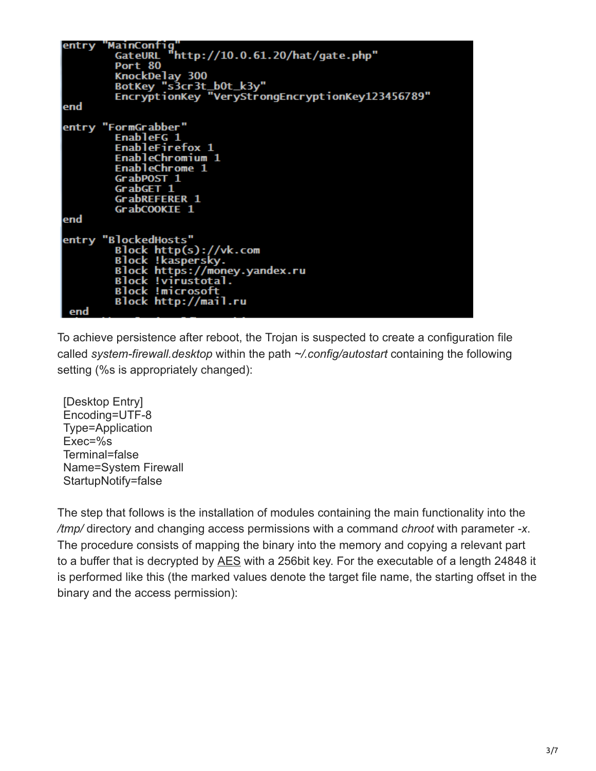|     | entry "MainContig                                |
|-----|--------------------------------------------------|
|     | GateURL "http://10.0.61.20/hat/gate.php"         |
|     | Port 80                                          |
|     | KnockDelay 300                                   |
|     | BotKey "s3cr3t_b0t_k3y"                          |
|     | EncryptionKey "VeryStrongEncryptionKey123456789" |
| end |                                                  |
|     | entry "FormGrabber"                              |
|     | EnableFG 1                                       |
|     | <b>EnableFirefox 1</b>                           |
|     |                                                  |
|     | EnableChromium 1                                 |
|     | EnableChrome 1                                   |
|     | GrabPOST 1                                       |
|     | GrabGET 1                                        |
|     | GrabREFERER 1                                    |
|     | GrabCOOKIE 1                                     |
| end |                                                  |
|     | entry "BlockedHosts"                             |
|     | Block http(s): //vk.com                          |
|     | Block !kaspersky.                                |
|     | Block https://money.yandex.ru                    |
|     | Block !virustotal.                               |
|     |                                                  |
|     | <b>Block !microsoft</b>                          |
|     | Block http://mail.ru                             |
| end |                                                  |

To achieve persistence after reboot, the Trojan is suspected to create a configuration file called *system-firewall.desktop* within the path *~/.config/autostart* containing the following setting (%s is appropriately changed):

[Desktop Entry] Encoding=UTF-8 Type=Application Exec=%s Terminal=false Name=System Firewall StartupNotify=false

The step that follows is the installation of modules containing the main functionality into the */tmp/* directory and changing access permissions with a command *chroot* with parameter *-x*. The procedure consists of mapping the binary into the memory and copying a relevant part to a buffer that is decrypted by [AES](http://en.wikipedia.org/wiki/Advanced_Encryption_Standard) with a 256bit key. For the executable of a length 24848 it is performed like this (the marked values denote the target file name, the starting offset in the binary and the access permission):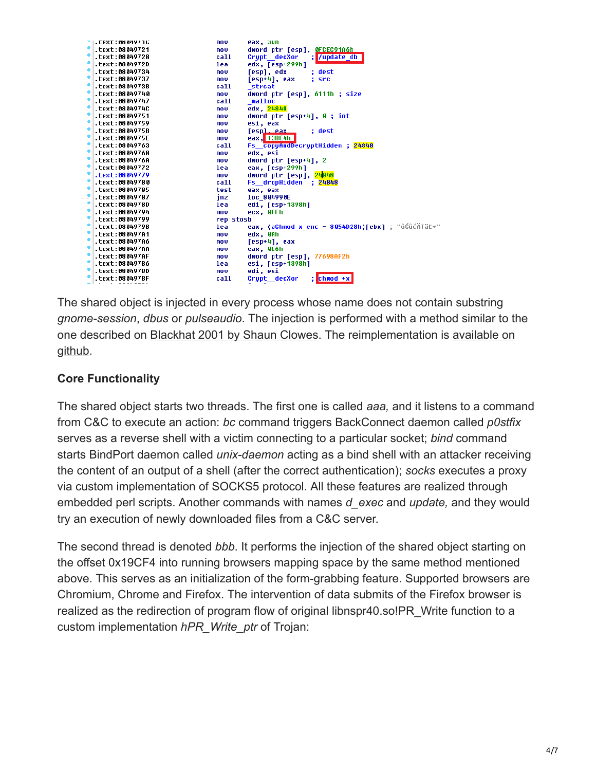| <b>.Text:08049/16</b> | mov.       | eax, sun                                          |
|-----------------------|------------|---------------------------------------------------|
| text:08049721.        | <b>MOV</b> | dword ptr [esp], <u>OFCEC91A6h</u>                |
| text:08049728.        | call       | ; /update_db<br>Crypt decXor                      |
| text:0804972D.        | lea        | edx, [esp+299h]                                   |
| text:08049734.        | nov.       | [esp], edx<br>: dest                              |
| text:08049737.        | <b>MOV</b> | [esp+4], eax ; src                                |
| .text:0804973B        | call       | strcat                                            |
| text:08049740         | mo v       | dword ptr [esp], 6111h ; size                     |
| text:08049747.        | call       | malloc                                            |
| .text:0804974C        | mov.       | edx, 24848                                        |
| text:08049751.        | <b>MOV</b> | dword ptr [esp+4], 0 ; int                        |
| text:08049759.        | <b>MOV</b> | esi, eax                                          |
| text:0804975B.        | mov        | [espl.eax_<br>: dest                              |
| .text:0804975E        | mo v       | eax, 13BE4h                                       |
| text:08049763.        | call       | Fs copyAndDecryptHidden ; 24848                   |
| text:08049768.        | nov.       | edx, esi                                          |
| .text:0804976A        | mov        | dword ptr [esp+4], 2                              |
| text:08049772.        | lea        | eax, [esp+299h]                                   |
| $-text: 08049779$     | mo v       | dword ptr [esp], 24848                            |
| .text:08049780        | call       | Fs dropHidden : 24848                             |
| .text:08049785        | test       | eax, eax                                          |
| .text:08049787        | inz        | loc 804990E                                       |
| .text:0804978D        | lea        | edi, [esp+1398h]                                  |
| text:08049794.        | mou        | ecx, OFFh                                         |
| text:08049799.        | rep stosb  |                                                   |
| .text:0804979B        | lea        | eax, (aChmod_x_enc - 8054D28h)[ebx] ; "ůĆůćÄTăĽ+" |
| .text:080497A1        | <b>MOV</b> | edx. OAh                                          |
| .text:080497A6        | <b>MOV</b> | $[esp+4]$ , eax                                   |
| .text:080497AA        | mo v       | eax, OE6h                                         |
| .text:080497AF        | <b>MOV</b> | dword ptr [esp], 77698AF2h                        |
| text:080497B6.        | lea.       | esi, [esp+1398h]                                  |
| .text:080497BD        | <b>MOV</b> | edi, esi                                          |
| .text:080497BF        | call       | $:$ chmod $+x$<br>Crupt decXor                    |

The shared object is injected in every process whose name does not contain substring *gnome-session*, *dbus* or *pulseaudio*. The injection is performed with a method similar to the [one described on Blackhat 2001 by Shaun Clowes. The reimplementation is available on](http://github.com/ice799/injectso64) github.

## **Core Functionality**

The shared object starts two threads. The first one is called *aaa,* and it listens to a command from C&C to execute an action: *bc* command triggers BackConnect daemon called *p0stfix* serves as a reverse shell with a victim connecting to a particular socket; *bind* command starts BindPort daemon called *unix-daemon* acting as a bind shell with an attacker receiving the content of an output of a shell (after the correct authentication); *socks* executes a proxy via custom implementation of SOCKS5 protocol. All these features are realized through embedded perl scripts. Another commands with names *d\_exec* and *update,* and they would try an execution of newly downloaded files from a C&C server.

The second thread is denoted *bbb*. It performs the injection of the shared object starting on the offset 0x19CF4 into running browsers mapping space by the same method mentioned above. This serves as an initialization of the form-grabbing feature. Supported browsers are Chromium, Chrome and Firefox. The intervention of data submits of the Firefox browser is realized as the redirection of program flow of original libnspr40.so!PR Write function to a custom implementation *hPR\_Write\_ptr* of Trojan: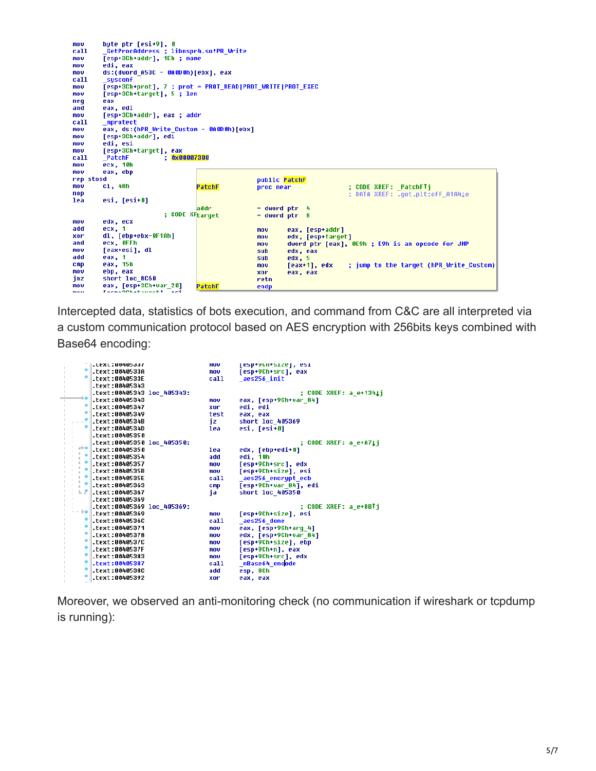byte ptr [esi+9], 0<br>\_GetProcAddress ; libnspr4.so!PR\_Write<br>[esp+3Ch+addr], 1Eh ; name<br>edi\_aou mov call mou mou edi. eax ds:(dword A53C - 0A0D0h)[ebx], eax mou call sysconf mov mou neg eax and eax, edi mov [esp+3Ch+addr], eax ; addr ca11. mprotect eax, ds:(hPR\_Write\_Custom - 0A0D0h)[ebx] mou mov [esp+3Ch+addr], edi mov edi, esi mou  $ca11$ mov  $\overline{ecx}$ , 10h mov eax, ebp rep stosd public PatchF  $c1,48h$ ; CODE XREF: \_PatchFTj<br>; DATA XREF: .got.plt:off\_A1A4↓o mou PatchE proc near nop lea esi, [esi+0] addr  $=$  dword ptr  $=$  4 ; CODE XFtarget  $=$  dword ptr  $8$ edx, ecx  ${\color{red}\texttt{MOU}}$ eax, [esp+addr]<br>edx, [esp+target] ecx, 1<br>dl, [ebp+ebx-0F1Ah] add nov xor mov ecx, OFFh<br>[eax+esi], dl and nov dword ptr [eax], OE9h ; E9h is an opcode for JMP mov suh edx, eax<br>edx, 5 add eax, 1 sub eax, i<br>eax, 15h<br>ebp, eax  $\overline{m}$ ov  $cmp$  $[$ eax+1], edx ; jump to the target (hPR\_Write\_Custom) mou xor eax, eax short loc\_8C60 jnz retn eax, [esp+3Ch+var\_20] mov PatchF endp mou

Intercepted data, statistics of bots execution, and command from C&C are all interpreted via a custom communication protocol based on AES encryption with 256bits keys combined with Base64 encoding:

|      | .LLXL:00405 <i>331</i>     | <b>HIO O</b> | esp+yun+size , esi     |
|------|----------------------------|--------------|------------------------|
|      | text:0040533A.             | mov          | [esp+9Ch+src], eax     |
|      | .text:0040533E             | call         | aes256 init            |
|      | text:00405343.             |              |                        |
|      | .text:00405343 loc 405343: |              | ; CODE XREF: a e+1341j |
|      | text:00405343              | mou          | eax, [esp+9Ch+var 84]  |
|      | text:00405347.             | xor          | edi, edi               |
|      | text:00405349              | test         | eax, eax               |
|      | $-text:0040534B$           | jz.          | short loc 405369       |
|      | .text:0040534D             | lea          | esi. [esi+0]           |
|      | text:00405350.             |              |                        |
|      | .text:00405350 loc 405350: |              | ; CODE XREF: a e+A71i  |
| m    | .text:00405350             | lea          | edx, [ebp+edi+0]       |
|      | text:00405354.             | add          | edi, 10h               |
|      | text:00405357.             | mov          | [esp+9Ch+src], edx     |
|      | text:0040535B.             | mov          | [esp+9Ch+size], esi    |
|      | text:0040535E.             | call         | aes256 encrypt ecb     |
|      | text:00405363.             | cmp          | [esp+9Ch+var 84], edi  |
| υP   | text:00405367.             | ja.          | short loc 405350       |
|      | text:00405369.             |              |                        |
|      | .text:00405369 loc 405369: |              | : CODE XREF: a e+8BTi  |
| - ≽∎ | text:00405369.             | mou          | [esp+9Ch+size], esi    |
|      | text:0040536C.             | call         | aes256 done            |
|      | text:00405371.             | mov          | eax, [esp+9Ch+arg_4]   |
|      | text:00405378.             | mov          | edx, [esp+9Ch+var 84]  |
|      | text:0040537C.             | mov          | [esp+9Ch+size], ebp    |
|      | .text:0040537F             | mov          | [esp+9Ch+n], eax       |
|      | text:00405383.             | mov          | [esp+9Ch+src], edx     |
|      | .text:00405387             | call         | nBase64 encode         |
|      | text:0040538C.             | add          | esp, 8Ch               |
|      | text:00405392.             | xor          | eax, eax               |

Moreover, we observed an anti-monitoring check (no communication if wireshark or tcpdump is running):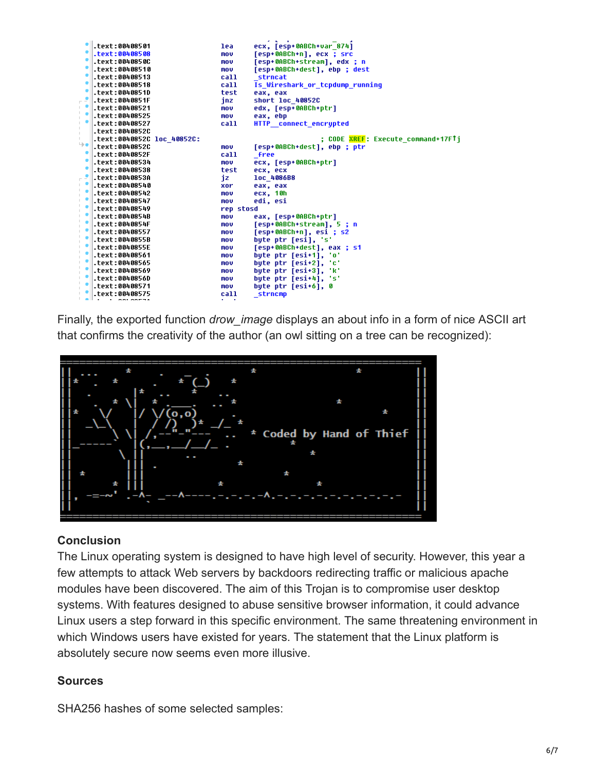|                              | text:00408501.             | lea        | ecx, [esp+0ABCh+var 874]                         |
|------------------------------|----------------------------|------------|--------------------------------------------------|
|                              | .text:00408508             | mou        | [esp+0ABCh+n], ecx ; src                         |
|                              | .text:0040850C             | mov        | [esp+0ABCh+stream], edx ; n                      |
|                              | text:00408510.             | mov        | [esp+0ABCh+dest], ebp ; dest                     |
|                              | text:00408513.             | call       | strncat                                          |
|                              | text:00408518.             | call       | Is Wireshark or topdump running                  |
|                              | text:0040851D.             | test       | eax, eax                                         |
|                              | .text:0040851F             | jnz        | short loc 40852C                                 |
|                              | text:00408521.             | mov        | edx, [esp+0ABCh+ptr]                             |
| т.<br>$\mathbb{R}^n$         | text:00408525.             | mov        | eax, ebp                                         |
|                              | text:00408527.             | call       | HTTP connect encrupted                           |
| $\mathbb{L}$<br>$\mathbb{L}$ | text:0040852C.             |            |                                                  |
| $\mathbb{L}$                 | .text:0040852C loc 40852C: |            | : CODE <mark>XREF</mark> : Execute command+17FTi |
| 9∎                           | text:0040852C.             | mov        | [esp+0ABCh+dest], ebp ; ptr                      |
|                              | .text:0040852F             | call       | <b>free</b>                                      |
|                              | text:00408534.             | <b>MOV</b> | ecx, [esp+0ABCh+ptr]                             |
|                              | text:00408538.             | test       | ecx, ecx                                         |
| - -                          | .text:0040853A             | iz         | loc 4086B8                                       |
|                              | text:00408540.             | xor        | eax, eax                                         |
| $\mathbb{L}$                 | text:00408542              | mou        | ecx, 10h                                         |
|                              | text:00408547.             | mov        | edi, esi                                         |
| $\mathbb{R}^n$               | text:00408549              | rep stosd  |                                                  |
|                              | .text:0040854B             | mov        | eax, [esp+0ABCh+ptr]                             |
| $\mathbb{L}$<br>$\mathbb{L}$ | .text:0040854F             | mov        | [esp+0ABCh+stream], 5 ; n                        |
|                              | text:00408557.             | mou        | [esp+0ABCh+n], esi ; s2                          |
| $\mathbb{L}$                 | .text:0040855B             | mou        | byte ptr [esi], 's'                              |
|                              | .text:0040855E             | mov        | [esp+0ABCh+dest], eax ; s1                       |
|                              | text:00408561.             | mov        | byte ptr [esi+1], 'o'                            |
|                              | .text:00408565             | mou        | bute ptr [esi+2], 'c'                            |
|                              | text:00408569.             | mov        | byte ptr [esi+3], 'k'                            |
|                              | text:0040856D.             | mov        | byte ptr [esi+4], 's'                            |
|                              | .text:00408571             | mov        | bute ptr [esi+6], 0                              |
|                              | text:00408575.             | call       | strncmp                                          |

Finally, the exported function *drow\_image* displays an about info in a form of nice ASCII art that confirms the creativity of the author (an owl sitting on a tree can be recognized):



#### **Conclusion**

The Linux operating system is designed to have high level of security. However, this year a few attempts to attack Web servers by backdoors redirecting traffic or malicious apache modules have been discovered. The aim of this Trojan is to compromise user desktop systems. With features designed to abuse sensitive browser information, it could advance Linux users a step forward in this specific environment. The same threatening environment in which Windows users have existed for years. The statement that the Linux platform is absolutely secure now seems even more illusive.

#### **Sources**

SHA256 hashes of some selected samples: